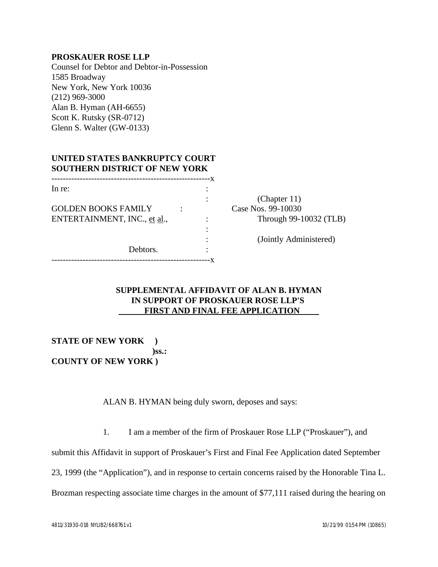## **PROSKAUER ROSE LLP**

Counsel for Debtor and Debtor-in-Possession 1585 Broadway New York, New York 10036 (212) 969-3000 Alan B. Hyman (AH-6655) Scott K. Rutsky (SR-0712) Glenn S. Walter (GW-0133)

## **UNITED STATES BANKRUPTCY COURT SOUTHERN DISTRICT OF NEW YORK**

| In re:                       |  |                        |
|------------------------------|--|------------------------|
|                              |  | (Chapter 11)           |
| <b>GOLDEN BOOKS FAMILY</b>   |  | Case Nos. 99-10030     |
| ENTERTAINMENT, INC., et al., |  | Through 99-10032 (TLB) |
|                              |  |                        |
|                              |  | (Jointly Administered) |
| Debtors.                     |  |                        |
|                              |  |                        |
|                              |  |                        |

## **SUPPLEMENTAL AFFIDAVIT OF ALAN B. HYMAN IN SUPPORT OF PROSKAUER ROSE LLP'S FIRST AND FINAL FEE APPLICATION**

**STATE OF NEW YORK ) )ss.: COUNTY OF NEW YORK )**

ALAN B. HYMAN being duly sworn, deposes and says:

1. I am a member of the firm of Proskauer Rose LLP ("Proskauer"), and

submit this Affidavit in support of Proskauer's First and Final Fee Application dated September

23, 1999 (the "Application"), and in response to certain concerns raised by the Honorable Tina L.

Brozman respecting associate time charges in the amount of \$77,111 raised during the hearing on